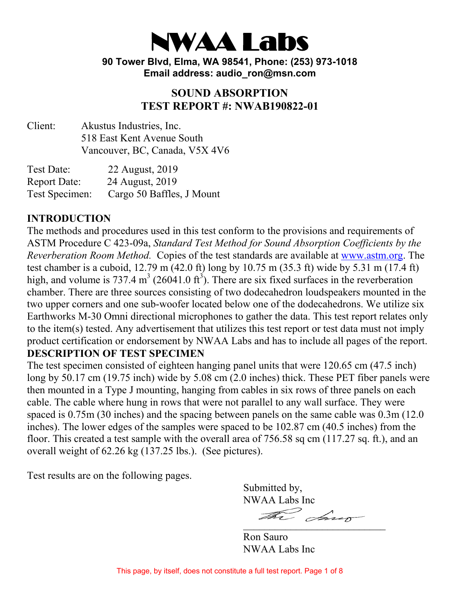

**90 Tower Blvd, Elma, WA 98541, Phone: (253) 973-1018 Email address: audio\_ron@msn.com**

### **SOUND ABSORPTION TEST REPORT #: NWAB190822-01**

Client: Akustus Industries, Inc. 518 East Kent Avenue South Vancouver, BC, Canada, V5X 4V6

| Test Date:          | 22 August, 2019           |
|---------------------|---------------------------|
| <b>Report Date:</b> | 24 August, 2019           |
| Test Specimen:      | Cargo 50 Baffles, J Mount |

#### **INTRODUCTION**

The methods and procedures used in this test conform to the provisions and requirements of ASTM Procedure C 423-09a, *Standard Test Method for Sound Absorption Coefficients by the Reverberation Room Method.* Copies of the test standards are available at [www.astm.org.](http://www.astm.org/) The test chamber is a cuboid, 12.79 m (42.0 ft) long by 10.75 m (35.3 ft) wide by 5.31 m (17.4 ft) high, and volume is 737.4 m<sup>3</sup> (26041.0 ft<sup>3</sup>). There are six fixed surfaces in the reverberation chamber. There are three sources consisting of two dodecahedron loudspeakers mounted in the two upper corners and one sub-woofer located below one of the dodecahedrons. We utilize six Earthworks M-30 Omni directional microphones to gather the data. This test report relates only to the item(s) tested. Any advertisement that utilizes this test report or test data must not imply product certification or endorsement by NWAA Labs and has to include all pages of the report. **DESCRIPTION OF TEST SPECIMEN**

The test specimen consisted of eighteen hanging panel units that were 120.65 cm (47.5 inch) long by 50.17 cm (19.75 inch) wide by 5.08 cm (2.0 inches) thick. These PET fiber panels were then mounted in a Type J mounting, hanging from cables in six rows of three panels on each cable. The cable where hung in rows that were not parallel to any wall surface. They were spaced is 0.75m (30 inches) and the spacing between panels on the same cable was 0.3m (12.0 inches). The lower edges of the samples were spaced to be 102.87 cm (40.5 inches) from the floor. This created a test sample with the overall area of 756.58 sq cm (117.27 sq. ft.), and an overall weight of 62.26 kg (137.25 lbs.). (See pictures).

Test results are on the following pages.

Submitted by, NWAA Labs Inc The Samo

Ron Sauro NWAA Labs Inc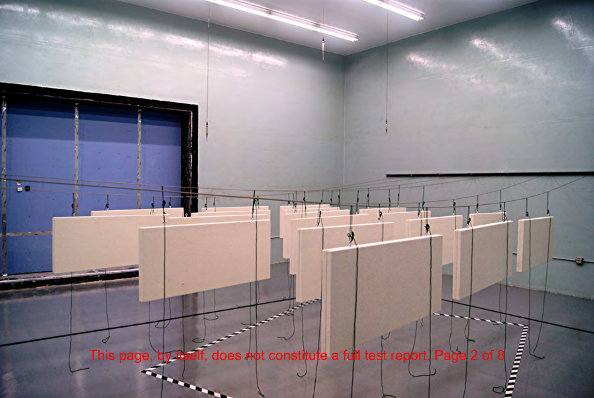This page, by itself, does not constitute a full test report. Page 2 of 8

Т.

šΰ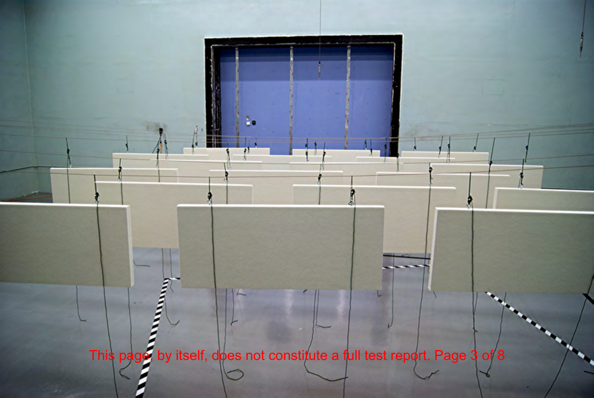This page, by itself, does not constitute a full test report. Page  $3$  of  $8$ 

÷.

톒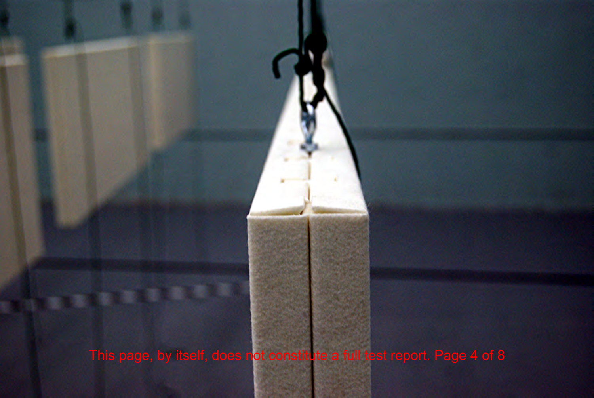This page, by itself, does not constitute a full test report. Page 4 of 8

**TAXABLE**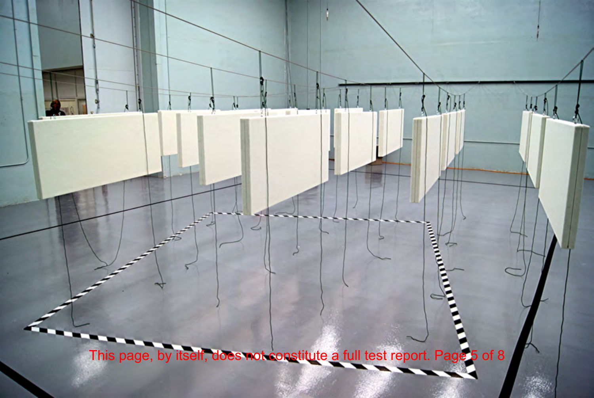This page, by itself, does not constitute a full test report. Page 5 of 8

ш.

لمحب

ш

**Canadia**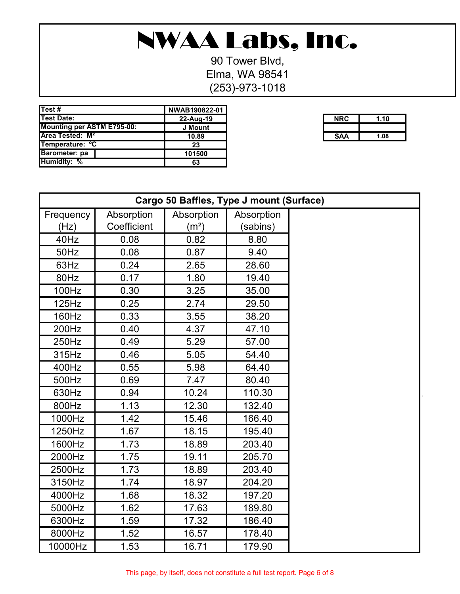# NWAA Labs, Inc.

90 Tower Blvd, Elma, WA 98541 (253)-973-1018

| <b>ITest#</b>               | NWAB190822-01 |
|-----------------------------|---------------|
| <b>Test Date:</b>           | 22-Aug-19     |
| Mounting per ASTM E795-00:  | J Mount       |
| Area Tested: M <sup>2</sup> | 10.89         |
| Temperature: <sup>o</sup> C | 23            |
| Barometer: pa               | 101500        |
| Humidity: %                 | 63            |

| .         |            |
|-----------|------------|
| 22-Aug-19 | <b>NRC</b> |
| J Mount   |            |
| 10.89     | <b>SAA</b> |

| Cargo 50 Baffles, Type J mount (Surface) |             |                   |            |  |
|------------------------------------------|-------------|-------------------|------------|--|
| Frequency                                | Absorption  | Absorption        | Absorption |  |
| (Hz)                                     | Coefficient | (m <sup>2</sup> ) | (sabins)   |  |
| 40Hz                                     | 0.08        | 0.82              | 8.80       |  |
| 50Hz                                     | 0.08        | 0.87              | 9.40       |  |
| 63Hz                                     | 0.24        | 2.65              | 28.60      |  |
| 80Hz                                     | 0.17        | 1.80              | 19.40      |  |
| 100Hz                                    | 0.30        | 3.25              | 35.00      |  |
| 125Hz                                    | 0.25        | 2.74              | 29.50      |  |
| 160Hz                                    | 0.33        | 3.55              | 38.20      |  |
| 200Hz                                    | 0.40        | 4.37              | 47.10      |  |
| 250Hz                                    | 0.49        | 5.29              | 57.00      |  |
| 315Hz                                    | 0.46        | 5.05              | 54.40      |  |
| 400Hz                                    | 0.55        | 5.98              | 64.40      |  |
| 500Hz                                    | 0.69        | 7.47              | 80.40      |  |
| 630Hz                                    | 0.94        | 10.24             | 110.30     |  |
| 800Hz                                    | 1.13        | 12.30             | 132.40     |  |
| 1000Hz                                   | 1.42        | 15.46             | 166.40     |  |
| 1250Hz                                   | 1.67        | 18.15             | 195.40     |  |
| 1600Hz                                   | 1.73        | 18.89             | 203.40     |  |
| 2000Hz                                   | 1.75        | 19.11             | 205.70     |  |
| 2500Hz                                   | 1.73        | 18.89             | 203.40     |  |
| 3150Hz                                   | 1.74        | 18.97             | 204.20     |  |
| 4000Hz                                   | 1.68        | 18.32             | 197.20     |  |
| 5000Hz                                   | 1.62        | 17.63             | 189.80     |  |
| 6300Hz                                   | 1.59        | 17.32             | 186.40     |  |
| 8000Hz                                   | 1.52        | 16.57             | 178.40     |  |
| 10000Hz                                  | 1.53        | 16.71             | 179.90     |  |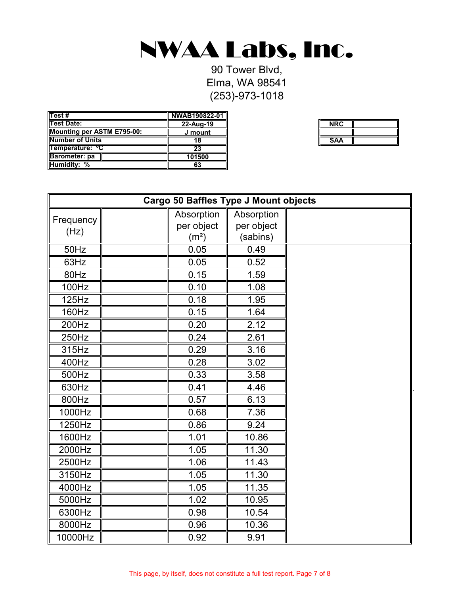

90 Tower Blvd, Elma, WA 98541 (253)-973-1018

| lTest #                    | NWAB190822-01 |
|----------------------------|---------------|
| Test Date:                 | 22-Aug-19     |
| Mounting per ASTM E795-00: | J mount       |
| <b>Number of Units</b>     | 18            |
| Temperature: °C            | 23            |
| <b>Barometer:</b> pa       | 101500        |
| Humidity:<br>%             | 63            |

| RC<br>١I |  |
|----------|--|
|          |  |
| SAA      |  |

| <b>Cargo 50 Baffles Type J Mount objects</b> |  |                                               |                                      |  |
|----------------------------------------------|--|-----------------------------------------------|--------------------------------------|--|
| Frequency<br>(Hz)                            |  | Absorption<br>per object<br>(m <sup>2</sup> ) | Absorption<br>per object<br>(sabins) |  |
| 50Hz                                         |  | 0.05                                          | 0.49                                 |  |
| 63Hz                                         |  | 0.05                                          | 0.52                                 |  |
| 80Hz                                         |  | 0.15                                          | 1.59                                 |  |
| 100Hz                                        |  | 0.10                                          | 1.08                                 |  |
| 125Hz                                        |  | 0.18                                          | 1.95                                 |  |
| 160Hz                                        |  | 0.15                                          | 1.64                                 |  |
| 200Hz                                        |  | 0.20                                          | 2.12                                 |  |
| 250Hz                                        |  | 0.24                                          | 2.61                                 |  |
| 315Hz                                        |  | 0.29                                          | 3.16                                 |  |
| 400Hz                                        |  | 0.28                                          | 3.02                                 |  |
| 500Hz                                        |  | 0.33                                          | 3.58                                 |  |
| 630Hz                                        |  | 0.41                                          | 4.46                                 |  |
| 800Hz                                        |  | 0.57                                          | 6.13                                 |  |
| 1000Hz                                       |  | 0.68                                          | 7.36                                 |  |
| 1250Hz                                       |  | 0.86                                          | 9.24                                 |  |
| 1600Hz                                       |  | 1.01                                          | 10.86                                |  |
| 2000Hz                                       |  | 1.05                                          | 11.30                                |  |
| 2500Hz                                       |  | 1.06                                          | 11.43                                |  |
| 3150Hz                                       |  | 1.05                                          | 11.30                                |  |
| 4000Hz                                       |  | 1.05                                          | 11.35                                |  |
| 5000Hz                                       |  | 1.02                                          | 10.95                                |  |
| 6300Hz                                       |  | 0.98                                          | 10.54                                |  |
| 8000Hz                                       |  | 0.96                                          | 10.36                                |  |
| 10000Hz                                      |  | 0.92                                          | 9.91                                 |  |